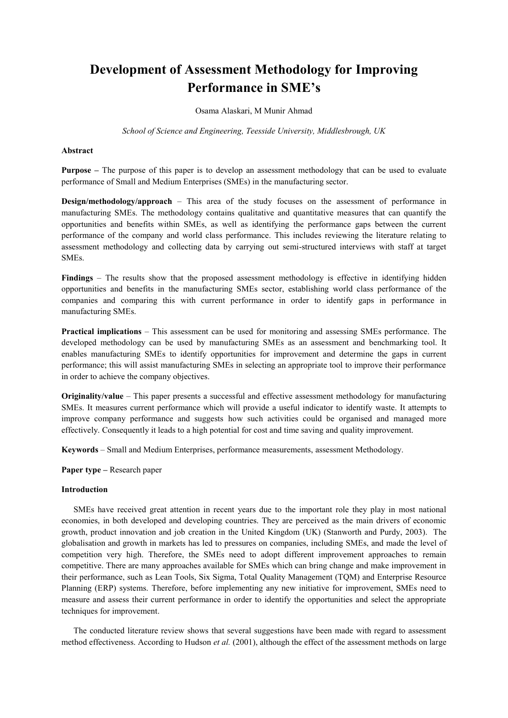# **Development of Assessment Methodology for Improving Performance in SME's**

Osama Alaskari, M Munir Ahmad

*School of Science and Engineering, Teesside University, Middlesbrough, UK* 

### **Abstract**

**Purpose** – The purpose of this paper is to develop an assessment methodology that can be used to evaluate performance of Small and Medium Enterprises (SMEs) in the manufacturing sector.

**Design/methodology/approach** – This area of the study focuses on the assessment of performance in manufacturing SMEs. The methodology contains qualitative and quantitative measures that can quantify the opportunities and benefits within SMEs, as well as identifying the performance gaps between the current performance of the company and world class performance. This includes reviewing the literature relating to assessment methodology and collecting data by carrying out semi-structured interviews with staff at target SMEs.

**Findings** – The results show that the proposed assessment methodology is effective in identifying hidden opportunities and benefits in the manufacturing SMEs sector, establishing world class performance of the companies and comparing this with current performance in order to identify gaps in performance in manufacturing SMEs.

**Practical implications** – This assessment can be used for monitoring and assessing SMEs performance. The developed methodology can be used by manufacturing SMEs as an assessment and benchmarking tool. It enables manufacturing SMEs to identify opportunities for improvement and determine the gaps in current performance; this will assist manufacturing SMEs in selecting an appropriate tool to improve their performance in order to achieve the company objectives.

**Originality/value** – This paper presents a successful and effective assessment methodology for manufacturing SMEs. It measures current performance which will provide a useful indicator to identify waste. It attempts to improve company performance and suggests how such activities could be organised and managed more effectively. Consequently it leads to a high potential for cost and time saving and quality improvement.

**Keywords** – Small and Medium Enterprises, performance measurements, assessment Methodology.

**Paper type –** Research paper

#### **Introduction**

SMEs have received great attention in recent years due to the important role they play in most national economies, in both developed and developing countries. They are perceived as the main drivers of economic growth, product innovation and job creation in the United Kingdom (UK) (Stanworth and Purdy, 2003). The globalisation and growth in markets has led to pressures on companies, including SMEs, and made the level of competition very high. Therefore, the SMEs need to adopt different improvement approaches to remain competitive. There are many approaches available for SMEs which can bring change and make improvement in their performance, such as Lean Tools, Six Sigma, Total Quality Management (TQM) and Enterprise Resource Planning (ERP) systems. Therefore, before implementing any new initiative for improvement, SMEs need to measure and assess their current performance in order to identify the opportunities and select the appropriate techniques for improvement.

The conducted literature review shows that several suggestions have been made with regard to assessment method effectiveness. According to Hudson *et al.* (2001), although the effect of the assessment methods on large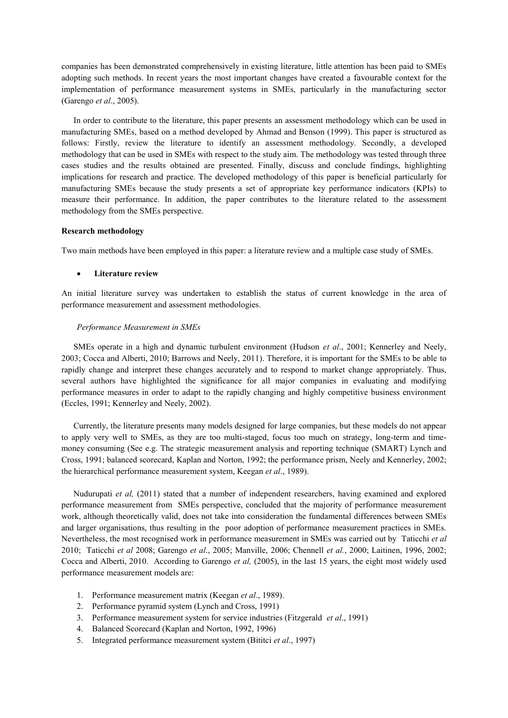companies has been demonstrated comprehensively in existing literature, little attention has been paid to SMEs adopting such methods. In recent years the most important changes have created a favourable context for the implementation of performance measurement systems in SMEs, particularly in the manufacturing sector (Garengo *et al*., 2005).

In order to contribute to the literature, this paper presents an assessment methodology which can be used in manufacturing SMEs, based on a method developed by Ahmad and Benson (1999). This paper is structured as follows: Firstly, review the literature to identify an assessment methodology. Secondly, a developed methodology that can be used in SMEs with respect to the study aim. The methodology was tested through three cases studies and the results obtained are presented. Finally, discuss and conclude findings, highlighting implications for research and practice. The developed methodology of this paper is beneficial particularly for manufacturing SMEs because the study presents a set of appropriate key performance indicators (KPIs) to measure their performance. In addition, the paper contributes to the literature related to the assessment methodology from the SMEs perspective.

#### **Research methodology**

Two main methods have been employed in this paper: a literature review and a multiple case study of SMEs.

### **Literature review**

An initial literature survey was undertaken to establish the status of current knowledge in the area of performance measurement and assessment methodologies.

#### *Performance Measurement in SMEs*

SMEs operate in a high and dynamic turbulent environment (Hudson *et al*., 2001; Kennerley and Neely, 2003; Cocca and Alberti, 2010; Barrows and Neely, 2011). Therefore, it is important for the SMEs to be able to rapidly change and interpret these changes accurately and to respond to market change appropriately. Thus, several authors have highlighted the significance for all major companies in evaluating and modifying performance measures in order to adapt to the rapidly changing and highly competitive business environment (Eccles, 1991; Kennerley and Neely, 2002).

Currently, the literature presents many models designed for large companies, but these models do not appear to apply very well to SMEs, as they are too multi-staged, focus too much on strategy, long-term and timemoney consuming (See e.g. The strategic measurement analysis and reporting technique (SMART) Lynch and Cross, 1991; balanced scorecard, Kaplan and Norton, 1992; the performance prism, Neely and Kennerley, 2002; the hierarchical performance measurement system, Keegan *et al*., 1989).

Nudurupati *et al,* (2011) stated that a number of independent researchers, having examined and explored performance measurement from SMEs perspective, concluded that the majority of performance measurement work, although theoretically valid, does not take into consideration the fundamental differences between SMEs and larger organisations, thus resulting in the poor adoption of performance measurement practices in SMEs. Nevertheless, the most recognised work in performance measurement in SMEs was carried out by Taticchi *et al*  2010; Taticchi *et al* 2008; Garengo *et al*., 2005; Manville, 2006; Chennell *et al.*, 2000; Laitinen, 1996, 2002; Cocca and Alberti, 2010. According to Garengo *et al,* (2005), in the last 15 years, the eight most widely used performance measurement models are:

- 1. Performance measurement matrix (Keegan *et al*., 1989).
- 2. Performance pyramid system (Lynch and Cross, 1991)
- 3. Performance measurement system for service industries (Fitzgerald *et al*., 1991)
- 4. Balanced Scorecard (Kaplan and Norton, 1992, 1996)
- 5. Integrated performance measurement system (Bititci *et al*., 1997)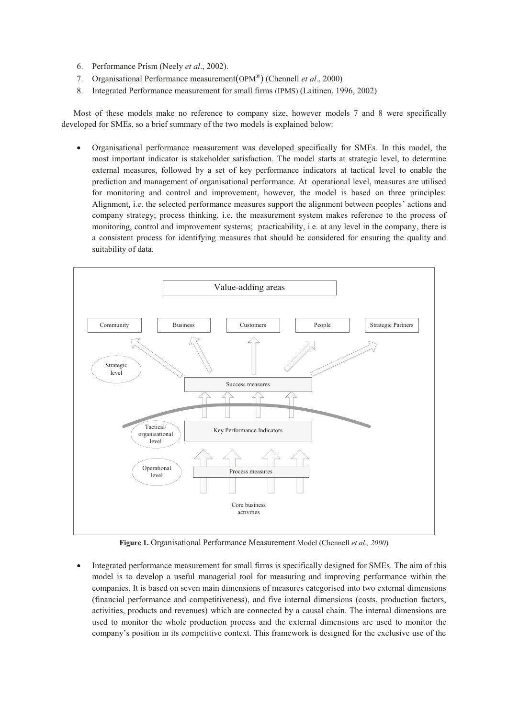- 6. Performance Prism (Neely et al., 2002).
- 7. Organisational Performance measurement(OPM<sup>®</sup>) (Chennell *et al.*, 2000)
- 8. Integrated Performance measurement for small firms (IPMS) (Laitinen, 1996, 2002)

Most of these models make no reference to company size, however models 7 and 8 were specifically developed for SMEs, so a brief summary of the two models is explained below:

• Organisational performance measurement was developed specifically for SMEs. In this model, the most important indicator is stakeholder satisfaction. The model starts at strategic level, to determine external measures, followed by a set of key performance indicators at tactical level to enable the prediction and management of organisational performance. At operational level, measures are utilised for monitoring and control and improvement, however, the model is based on three principles: Alignment, i.e. the selected performance measures support the alignment between peoples' actions and company strategy; process thinking, i.e. the measurement system makes reference to the process of monitoring, control and improvement systems; practicability, i.e. at any level in the company, there is a consistent process for identifying measures that should be considered for ensuring the quality and suitability of data.



**Figure 1.** Organisational Performance Measurement Model (Chennell et al., 2000)

• Integrated performance measurement for small firms is specifically designed for SMEs. The aim of this model is to develop a useful managerial tool for measuring and improving performance within the companies. It is based on seven main dimensions of measures categorised into two external dimensions (financial performance and competitiveness), and five internal dimensions (costs, production factors, activities, products and revenues) which are connected by a causal chain. The internal dimensions are used to monitor the whole production process and the external dimensions are used to monitor the company's position in its competitive context. This framework is designed for the exclusive use of the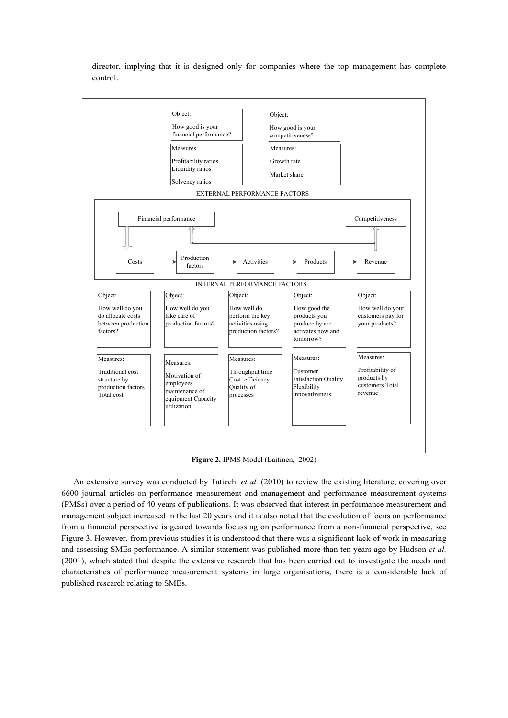director, implying that it is designed only for companies where the top management has complete control.



**Figure 2.** IPMS Model (Laitinen*,* 2002)

An extensive survey was conducted by Taticchi *et al.* (2010) to review the existing literature, covering over 6600 journal articles on performance measurement and management and performance measurement systems (PMSs) over a period of 40 years of publications. It was observed that interest in performance measurement and management subject increased in the last 20 years and it is also noted that the evolution of focus on performance from a financial perspective is geared towards focussing on performance from a non-financial perspective, see Figure 3. However, from previous studies it is understood that there was a significant lack of work in measuring and assessing SMEs performance. A similar statement was published more than ten years ago by Hudson *et al.* (2001), which stated that despite the extensive research that has been carried out to investigate the needs and characteristics of performance measurement systems in large organisations, there is a considerable lack of published research relating to SMEs.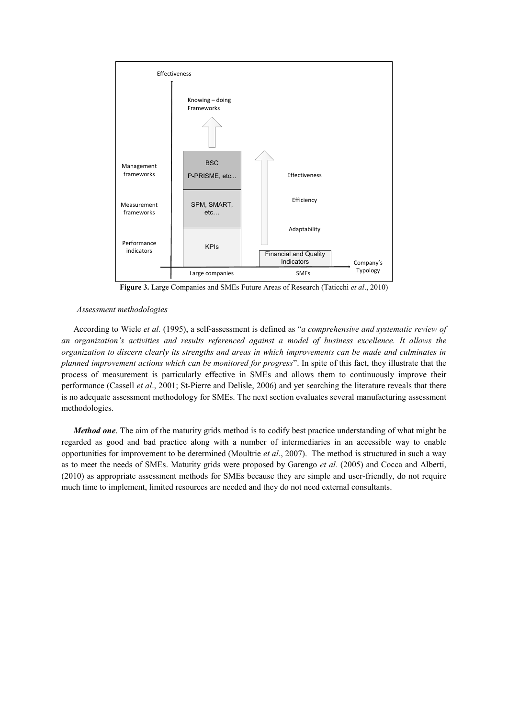

**Figure 3.** Large Companies and SMEs Future Areas of Research (Taticchi *et al*., 2010)

#### *Assessment methodologies*

According to Wiele *et al.* (1995), a self-assessment is defined as "*a comprehensive and systematic review of an organization's activities and results referenced against a model of business excellence. It allows the organization to discern clearly its strengths and areas in which improvements can be made and culminates in planned improvement actions which can be monitored for progress*". In spite of this fact, they illustrate that the process of measurement is particularly effective in SMEs and allows them to continuously improve their performance (Cassell *et al*., 2001; St-Pierre and Delisle, 2006) and yet searching the literature reveals that there is no adequate assessment methodology for SMEs. The next section evaluates several manufacturing assessment methodologies.

*Method one*. The aim of the maturity grids method is to codify best practice understanding of what might be regarded as good and bad practice along with a number of intermediaries in an accessible way to enable opportunities for improvement to be determined (Moultrie *et al*., 2007). The method is structured in such a way as to meet the needs of SMEs. Maturity grids were proposed by Garengo *et al.* (2005) and Cocca and Alberti, (2010) as appropriate assessment methods for SMEs because they are simple and user-friendly, do not require much time to implement, limited resources are needed and they do not need external consultants.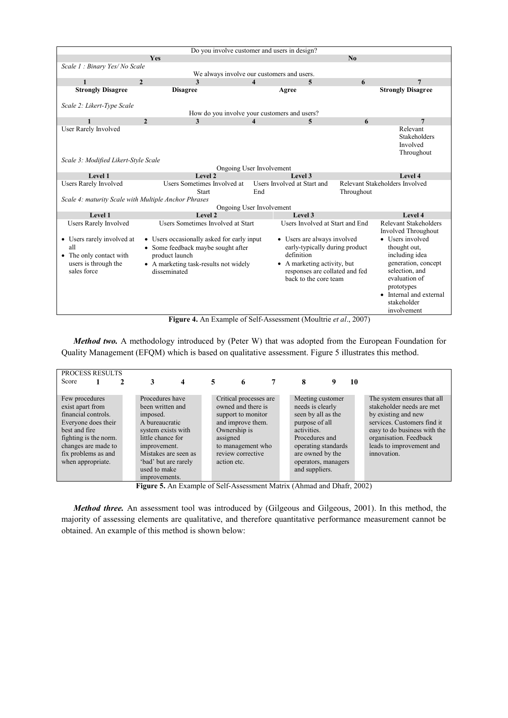| Do you involve customer and users in design?                    |                                                                                  |                          |                                 |              |                                                     |  |
|-----------------------------------------------------------------|----------------------------------------------------------------------------------|--------------------------|---------------------------------|--------------|-----------------------------------------------------|--|
|                                                                 |                                                                                  |                          | $\mathbf{N}\mathbf{0}$          |              |                                                     |  |
| Scale 1 : Binary Yes/ No Scale                                  |                                                                                  |                          |                                 |              |                                                     |  |
|                                                                 | We always involve our customers and users.                                       |                          |                                 |              |                                                     |  |
| 1                                                               | $\overline{2}$<br>3                                                              | $\overline{\mathbf{4}}$  | 5                               | 6            | 7                                                   |  |
| <b>Strongly Disagree</b>                                        | <b>Disagree</b>                                                                  |                          | Agree                           |              | <b>Strongly Disagree</b>                            |  |
|                                                                 |                                                                                  |                          |                                 |              |                                                     |  |
| Scale 2: Likert-Type Scale                                      | How do you involve your customers and users?                                     |                          |                                 |              |                                                     |  |
| 1                                                               | $\mathbf{2}$<br>3                                                                | 4                        | 5 <sup>5</sup>                  | 6            | $7\phantom{.0}$                                     |  |
| User Rarely Involved                                            |                                                                                  |                          |                                 |              | Relevant                                            |  |
|                                                                 |                                                                                  |                          |                                 |              | Stakeholders                                        |  |
|                                                                 |                                                                                  |                          |                                 |              | Involved                                            |  |
|                                                                 |                                                                                  |                          |                                 |              | Throughout                                          |  |
| Scale 3: Modified Likert-Style Scale                            |                                                                                  |                          |                                 |              |                                                     |  |
|                                                                 |                                                                                  | Ongoing User Involvement |                                 |              |                                                     |  |
| Level 1                                                         | Level 2                                                                          |                          | Level 3                         |              | Level 4                                             |  |
| <b>Users Rarely Involved</b>                                    | Users Sometimes Involved at                                                      |                          | Users Involved at Start and     |              | Relevant Stakeholders Involved                      |  |
|                                                                 | <b>Start</b>                                                                     | End                      |                                 | Throughout   |                                                     |  |
| Scale 4: maturity Scale with Multiple Anchor Phrases            |                                                                                  |                          |                                 |              |                                                     |  |
|                                                                 |                                                                                  | Ongoing User Involvement |                                 |              |                                                     |  |
| Level 1                                                         | Level 2                                                                          |                          | Level 3                         |              | Level 4                                             |  |
| <b>Users Rarely Involved</b>                                    | Users Sometimes Involved at Start                                                |                          | Users Involved at Start and End |              | Relevant Stakeholders<br><b>Involved Throughout</b> |  |
| • Users rarely involved at                                      |                                                                                  |                          | • Users are always involved     |              | • Users involved                                    |  |
| all                                                             | • Users occasionally asked for early input<br>• Some feedback maybe sought after |                          | early-typically during product  | thought out, |                                                     |  |
| • The only contact with                                         | product launch                                                                   |                          | definition                      |              | including idea                                      |  |
| users is through the                                            | • A marketing task-results not widely                                            |                          | • A marketing activity, but     |              | generation, concept                                 |  |
| sales force                                                     | disseminated                                                                     |                          | responses are collated and fed  |              | selection, and                                      |  |
|                                                                 |                                                                                  |                          | back to the core team           |              | evaluation of                                       |  |
|                                                                 |                                                                                  |                          |                                 |              | prototypes                                          |  |
|                                                                 |                                                                                  |                          |                                 |              | • Internal and external                             |  |
|                                                                 |                                                                                  |                          |                                 |              | stakeholder                                         |  |
|                                                                 |                                                                                  |                          |                                 |              | involvement                                         |  |
| Figure 4. An Example of Self-Assessment (Moultrie et al., 2007) |                                                                                  |                          |                                 |              |                                                     |  |

*Method two.* A methodology introduced by (Peter W) that was adopted from the European Foundation for Quality Management (EFQM) which is based on qualitative assessment. Figure 5 illustrates this method.

| PROCESS RESULTS                                                                                                                                                                               |              |                                                                                                                                                                                                                                 |   |                                                                                                                                                                                       |  |                                                                                                                                                                                                                                                                                                        |   |    |                                                                                                                                                                                                                     |
|-----------------------------------------------------------------------------------------------------------------------------------------------------------------------------------------------|--------------|---------------------------------------------------------------------------------------------------------------------------------------------------------------------------------------------------------------------------------|---|---------------------------------------------------------------------------------------------------------------------------------------------------------------------------------------|--|--------------------------------------------------------------------------------------------------------------------------------------------------------------------------------------------------------------------------------------------------------------------------------------------------------|---|----|---------------------------------------------------------------------------------------------------------------------------------------------------------------------------------------------------------------------|
| Score                                                                                                                                                                                         | $\mathbf{2}$ | 3                                                                                                                                                                                                                               | 5 | 6                                                                                                                                                                                     |  | 8                                                                                                                                                                                                                                                                                                      | 9 | 10 |                                                                                                                                                                                                                     |
| Few procedures<br>exist apart from<br>financial controls.<br>Everyone does their<br>best and fire<br>fighting is the norm.<br>changes are made to<br>fix problems as and<br>when appropriate. |              | Procedures have<br>been written and<br>imposed.<br>A bureaucratic<br>system exists with<br>little chance for<br>improvement.<br>Mistakes are seen as<br>'bad' but are rarely<br>used to make<br>improvements.<br>$\sim$<br>____ |   | Critical processes are<br>owned and there is<br>support to monitor<br>and improve them.<br>Ownership is<br>assigned<br>to management who<br>review corrective<br>action etc.<br>0.013 |  | Meeting customer<br>needs is clearly<br>seen by all as the<br>purpose of all<br>activities.<br>Procedures and<br>operating standards<br>are owned by the<br>operators, managers<br>and suppliers.<br>$\mathbf{a} \cdot \mathbf{b}$ and $\mathbf{a} \cdot \mathbf{c}$ and $\mathbf{a} \cdot \mathbf{c}$ |   |    | The system ensures that all<br>stakeholder needs are met<br>by existing and new<br>services. Customers find it<br>easy to do business with the<br>organisation. Feedback<br>leads to improvement and<br>innovation. |

**Figure 5.** An Example of Self-Assessment Matrix (Ahmad and Dhafr, 2002)

*Method three.* An assessment tool was introduced by (Gilgeous and Gilgeous, 2001). In this method, the majority of assessing elements are qualitative, and therefore quantitative performance measurement cannot be obtained. An example of this method is shown below: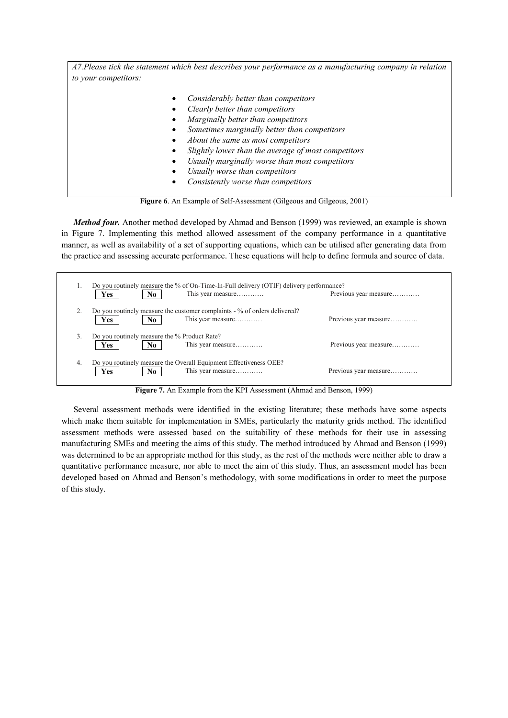| to your competitors: | A7. Please tick the statement which best describes your performance as a manufacturing company in relation                                                                                                                                                                                                                                                                            |
|----------------------|---------------------------------------------------------------------------------------------------------------------------------------------------------------------------------------------------------------------------------------------------------------------------------------------------------------------------------------------------------------------------------------|
|                      | Considerably better than competitors<br>Clearly better than competitors<br>Marginally better than competitors<br>Sometimes marginally better than competitors<br>About the same as most competitors<br>Slightly lower than the average of most competitors<br>Usually marginally worse than most competitors<br>Usually worse than competitors<br>Consistently worse than competitors |



*Method four.* Another method developed by Ahmad and Benson (1999) was reviewed, an example is shown in Figure 7. Implementing this method allowed assessment of the company performance in a quantitative manner, as well as availability of a set of supporting equations, which can be utilised after generating data from the practice and assessing accurate performance. These equations will help to define formula and source of data.

|    | No<br>Yes                                                 | Do you routinely measure the % of On-Time-In-Full delivery (OTIF) delivery performance?<br>This year measure | Previous year measure |
|----|-----------------------------------------------------------|--------------------------------------------------------------------------------------------------------------|-----------------------|
| 2. | <b>Yes</b><br>No                                          | Do you routinely measure the customer complaints - % of orders delivered?<br>This year measure               | Previous year measure |
| 3. | Do you routinely measure the % Product Rate?<br>No<br>Yes | This year measure                                                                                            | Previous year measure |
| 4. | No<br>Yes                                                 | Do you routinely measure the Overall Equipment Effectiveness OEE?<br>This year measure                       | Previous year measure |

**Figure 7.** An Example from the KPI Assessment (Ahmad and Benson, 1999)

Several assessment methods were identified in the existing literature; these methods have some aspects which make them suitable for implementation in SMEs, particularly the maturity grids method. The identified assessment methods were assessed based on the suitability of these methods for their use in assessing manufacturing SMEs and meeting the aims of this study. The method introduced by Ahmad and Benson (1999) was determined to be an appropriate method for this study, as the rest of the methods were neither able to draw a quantitative performance measure, nor able to meet the aim of this study. Thus, an assessment model has been developed based on Ahmad and Benson's methodology, with some modifications in order to meet the purpose of this study.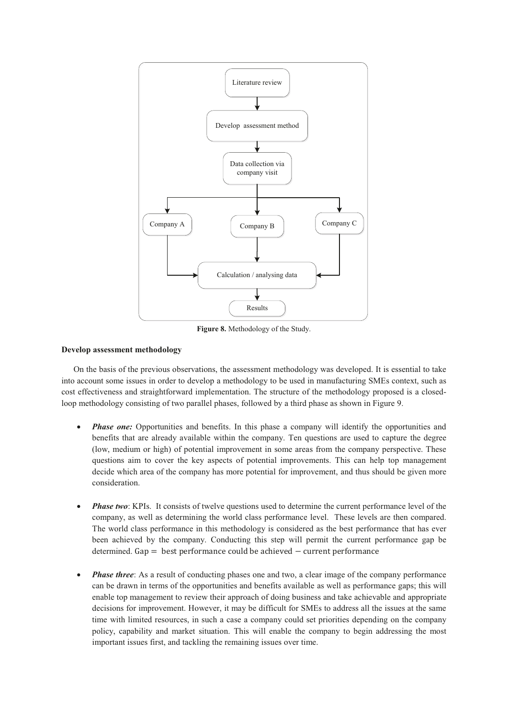

Figure 8. Methodology of the Study.

### **Develop assessment methodology**

On the basis of the previous observations, the assessment methodology was developed. It is essential to take into account some issues in order to develop a methodology to be used in manufacturing SMEs context, such as cost effectiveness and straightforward implementation. The structure of the methodology proposed is a closedloop methodology consisting of two parallel phases, followed by a third phase as shown in Figure 9.

- Phase one: Opportunities and benefits. In this phase a company will identify the opportunities and benefits that are already available within the company. Ten questions are used to capture the degree (low, medium or high) of potential improvement in some areas from the company perspective. These questions aim to cover the key aspects of potential improvements. This can help top management decide which area of the company has more potential for improvement, and thus should be given more consideration.
- **Phase two:** KPIs. It consists of twelve questions used to determine the current performance level of the company, as well as determining the world class performance level. These levels are then compared. The world class performance in this methodology is considered as the best performance that has ever been achieved by the company. Conducting this step will permit the current performance gap be  $d$ etermined.  $Gap = best$  performance could be achieved  $-$  current performance
- *Phase three:* As a result of conducting phases one and two, a clear image of the company performance can be drawn in terms of the opportunities and benefits available as well as performance gaps; this will enable top management to review their approach of doing business and take achievable and appropriate decisions for improvement. However, it may be difficult for SMEs to address all the issues at the same time with limited resources, in such a case a company could set priorities depending on the company policy, capability and market situation. This will enable the company to begin addressing the most important issues first, and tackling the remaining issues over time.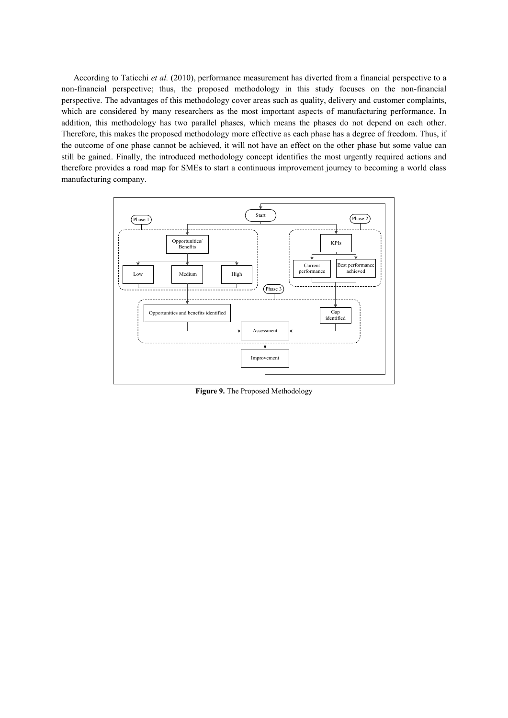According to Taticchi *et al.* (2010), performance measurement has diverted from a financial perspective to a non-financial perspective; thus, the proposed methodology in this study focuses on the non-financial perspective. The advantages of this methodology cover areas such as quality, delivery and customer complaints, which are considered by many researchers as the most important aspects of manufacturing performance. In addition, this methodology has two parallel phases, which means the phases do not depend on each other. Therefore, this makes the proposed methodology more effective as each phase has a degree of freedom. Thus, if the outcome of one phase cannot be achieved, it will not have an effect on the other phase but some value can still be gained. Finally, the introduced methodology concept identifies the most urgently required actions and therefore provides a road map for SMEs to start a continuous improvement journey to becoming a world class manufacturing company.



**Figure 9.** The Proposed Methodology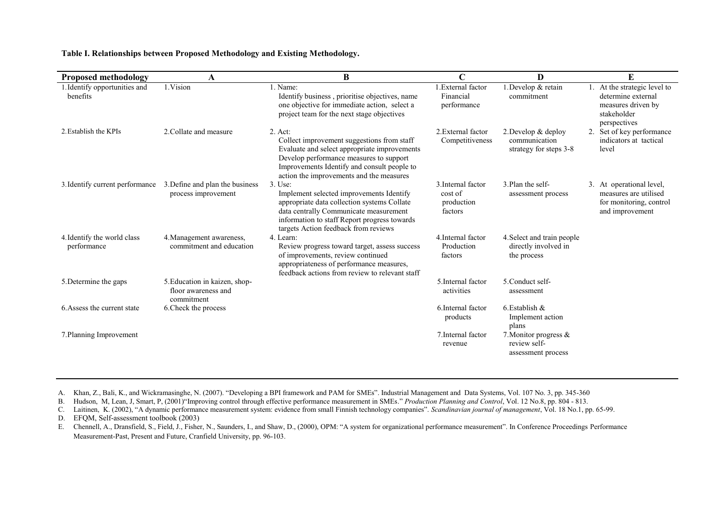**Table I. Relationships between Proposed Methodology and Existing Methodology.** 

| <b>Proposed methodology</b>                | A                                                                  | B                                                                                                                                                                                                                                             | C                                                      | D                                                                 | E                                                                                                    |
|--------------------------------------------|--------------------------------------------------------------------|-----------------------------------------------------------------------------------------------------------------------------------------------------------------------------------------------------------------------------------------------|--------------------------------------------------------|-------------------------------------------------------------------|------------------------------------------------------------------------------------------------------|
| 1. Identify opportunities and<br>benefits  | 1.Vision                                                           | 1. Name:<br>Identify business, prioritise objectives, name<br>one objective for immediate action, select a<br>project team for the next stage objectives                                                                                      | 1. External factor<br>Financial<br>performance         | 1. Develop & retain<br>commitment                                 | At the strategic level to<br>determine external<br>measures driven by<br>stakeholder<br>perspectives |
| 2. Establish the KPIs                      | 2. Collate and measure                                             | $2.$ Act:<br>Collect improvement suggestions from staff<br>Evaluate and select appropriate improvements<br>Develop performance measures to support<br>Improvements Identify and consult people to<br>action the improvements and the measures | 2. External factor<br>Competitiveness                  | 2. Develop & deploy<br>communication<br>strategy for steps 3-8    | 2. Set of key performance<br>indicators at tactical<br>level                                         |
| 3. Identify current performance            | 3. Define and plan the business<br>process improvement             | 3. Use:<br>Implement selected improvements Identify<br>appropriate data collection systems Collate<br>data centrally Communicate measurement<br>information to staff Report progress towards<br>targets Action feedback from reviews          | 3. Internal factor<br>cost of<br>production<br>factors | 3. Plan the self-<br>assessment process                           | 3. At operational level,<br>measures are utilised<br>for monitoring, control<br>and improvement      |
| 4. Identify the world class<br>performance | 4. Management awareness,<br>commitment and education               | 4. Learn:<br>Review progress toward target, assess success<br>of improvements, review continued<br>appropriateness of performance measures,<br>feedback actions from review to relevant staff                                                 | 4. Internal factor<br>Production<br>factors            | 4. Select and train people<br>directly involved in<br>the process |                                                                                                      |
| 5. Determine the gaps                      | 5. Education in kaizen, shop-<br>floor awareness and<br>commitment |                                                                                                                                                                                                                                               | 5. Internal factor<br>activities                       | 5. Conduct self-<br>assessment                                    |                                                                                                      |
| 6. Assess the current state                | 6. Check the process                                               |                                                                                                                                                                                                                                               | 6. Internal factor<br>products                         | 6. Establish $\&$<br>Implement action<br>plans                    |                                                                                                      |
| 7. Planning Improvement                    |                                                                    |                                                                                                                                                                                                                                               | 7. Internal factor<br>revenue                          | 7. Monitor progress &<br>review self-<br>assessment process       |                                                                                                      |

- A. Khan, Z., Bali, K., and Wickramasinghe, N. (2007). "Developing a BPI framework and PAM for SMEs". Industrial Management and Data Systems, Vol. 107 No. 3, pp. 345-360
- B. Hudson, M, Lean, J, Smart, P, (2001)"Improving control through effective performance measurement in SMEs." *Production Planning and Control*, Vol. 12 No.8, pp. 804 813.
- C. Laitinen, K. (2002), "A dynamic performance measurement system: evidence from small Finnish technology companies". *Scandinavian journal of management*, Vol. 18 No.1, pp. 65-99.
- D. EFQM, Self-assessment toolbook (2003)
- E. Chennell, A., Dransfield, S., Field, J., Fisher, N., Saunders, I., and Shaw, D., (2000), OPM: "A system for organizational performance measurement". In Conference Proceedings Performance Measurement-Past, Present and Future, Cranfield University, pp. 96-103.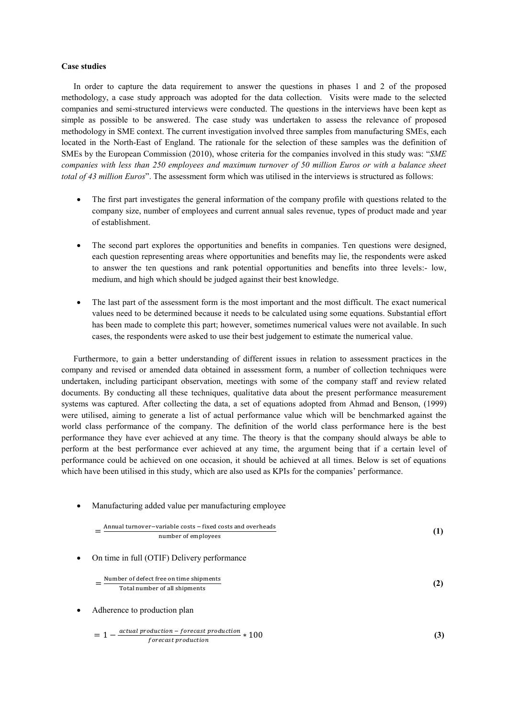#### **Case studies**

In order to capture the data requirement to answer the questions in phases 1 and 2 of the proposed methodology, a case study approach was adopted for the data collection. Visits were made to the selected companies and semi-structured interviews were conducted. The questions in the interviews have been kept as simple as possible to be answered. The case study was undertaken to assess the relevance of proposed methodology in SME context. The current investigation involved three samples from manufacturing SMEs, each located in the North-East of England. The rationale for the selection of these samples was the definition of SMEs by the European Commission (2010), whose criteria for the companies involved in this study was: "*SME companies with less than 250 employees and maximum turnover of 50 million Euros or with a balance sheet total of 43 million Euros*". The assessment form which was utilised in the interviews is structured as follows:

- The first part investigates the general information of the company profile with questions related to the company size, number of employees and current annual sales revenue, types of product made and year of establishment.
- The second part explores the opportunities and benefits in companies. Ten questions were designed, each question representing areas where opportunities and benefits may lie, the respondents were asked to answer the ten questions and rank potential opportunities and benefits into three levels:- low, medium, and high which should be judged against their best knowledge.
- The last part of the assessment form is the most important and the most difficult. The exact numerical values need to be determined because it needs to be calculated using some equations. Substantial effort has been made to complete this part; however, sometimes numerical values were not available. In such cases, the respondents were asked to use their best judgement to estimate the numerical value.

Furthermore, to gain a better understanding of different issues in relation to assessment practices in the company and revised or amended data obtained in assessment form, a number of collection techniques were undertaken, including participant observation, meetings with some of the company staff and review related documents. By conducting all these techniques, qualitative data about the present performance measurement systems was captured. After collecting the data, a set of equations adopted from Ahmad and Benson, (1999) were utilised, aiming to generate a list of actual performance value which will be benchmarked against the world class performance of the company. The definition of the world class performance here is the best performance they have ever achieved at any time. The theory is that the company should always be able to perform at the best performance ever achieved at any time, the argument being that if a certain level of performance could be achieved on one occasion, it should be achieved at all times. Below is set of equations which have been utilised in this study, which are also used as KPIs for the companies' performance.

Manufacturing added value per manufacturing employee

$$
= \frac{\text{Annual turnover} - \text{variable costs} - \text{fixed costs and overheads}}{\text{number of employees}} \tag{1}
$$

On time in full (OTIF) Delivery performance

$$
=\frac{\text{Number of defect free on time shipments}}{\text{Total number of all shipments}}
$$
\n(2)

Adherence to production plan

$$
= 1 - \frac{actual\,production - forecast\,production}{forecast\,production} * 100 \tag{3}
$$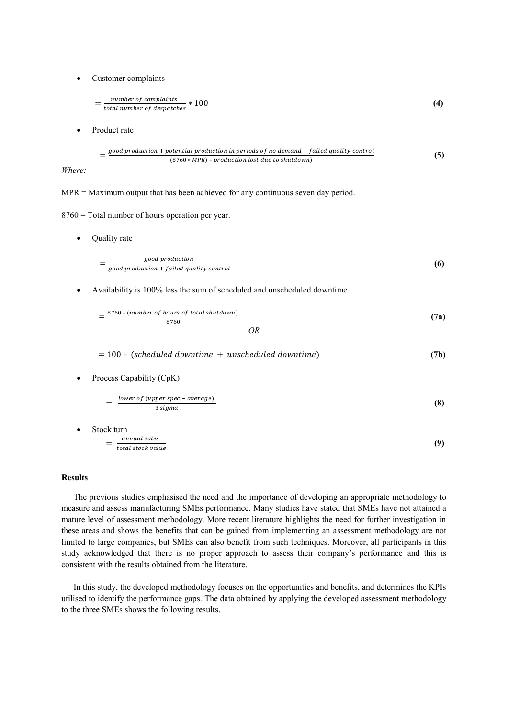Customer complaints

$$
=\frac{number\ of\ compla ints}{total\ number\ of\ despatches} * 100\tag{4}
$$

Product rate

$$
= \frac{good\,production + potential\,production\,in\,periods\,of\,no\,demand + failed\,quality\,control}{(8760 * MPR) - production\,lost\,due\,to\,shutdown)}
$$
\n(5)

*Where:* 

# MPR = Maximum output that has been achieved for any continuous seven day period.

8760 = Total number of hours operation per year.

• Quality rate

$$
=\frac{good\ production}{good\ production + failed\ quality\ control}
$$
\n(6)

Availability is 100% less the sum of scheduled and unscheduled downtime

$$
=\frac{8760-(number\ of\ hours\ of\ total\ shutdown)}{8760}
$$
 (7a)

$$
= 100 - (scheduled\ downtime + unscheduled\ downtime)
$$
\n(7b)

• Process Capability (CpK)

$$
= \frac{lower \ of \ (upper \ spec - average)}{3 \ sigma} \tag{8}
$$

Stock turn

$$
= \frac{annual \, sales}{total \, stock \, value} \tag{9}
$$

#### **Results**

The previous studies emphasised the need and the importance of developing an appropriate methodology to measure and assess manufacturing SMEs performance. Many studies have stated that SMEs have not attained a mature level of assessment methodology. More recent literature highlights the need for further investigation in these areas and shows the benefits that can be gained from implementing an assessment methodology are not limited to large companies, but SMEs can also benefit from such techniques. Moreover, all participants in this study acknowledged that there is no proper approach to assess their company's performance and this is consistent with the results obtained from the literature.

In this study, the developed methodology focuses on the opportunities and benefits, and determines the KPIs utilised to identify the performance gaps. The data obtained by applying the developed assessment methodology to the three SMEs shows the following results.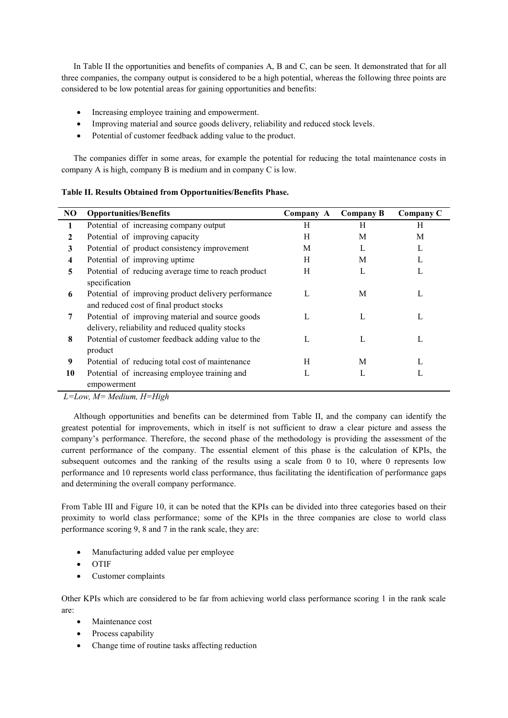In Table II the opportunities and benefits of companies A, B and C, can be seen. It demonstrated that for all three companies, the company output is considered to be a high potential, whereas the following three points are considered to be low potential areas for gaining opportunities and benefits:

- Increasing employee training and empowerment.
- Improving material and source goods delivery, reliability and reduced stock levels.
- Potential of customer feedback adding value to the product.

The companies differ in some areas, for example the potential for reducing the total maintenance costs in company A is high, company B is medium and in company C is low.

| NO | <b>Opportunities/Benefits</b>                       | Company A | <b>Company B</b> | Company C |
|----|-----------------------------------------------------|-----------|------------------|-----------|
| 1  | Potential of increasing company output              | H         | H                | H         |
| 2  | Potential of improving capacity                     | H         | M                | М         |
| 3  | Potential of product consistency improvement        | M         |                  |           |
| 4  | Potential of improving uptime                       | H         | M                |           |
| 5  | Potential of reducing average time to reach product | H         | L                | L         |
|    | specification                                       |           |                  |           |
| 6  | Potential of improving product delivery performance | L         | M                |           |
|    | and reduced cost of final product stocks            |           |                  |           |
| 7  | Potential of improving material and source goods    | L         | L                | L         |
|    | delivery, reliability and reduced quality stocks    |           |                  |           |
| 8  | Potential of customer feedback adding value to the  | L         | L                |           |
|    | product                                             |           |                  |           |
| 9  | Potential of reducing total cost of maintenance     | H         | M                |           |
| 10 | Potential of increasing employee training and       |           | L                |           |
|    | empowerment                                         |           |                  |           |

*L=Low, M= Medium, H=High* 

Although opportunities and benefits can be determined from Table II, and the company can identify the greatest potential for improvements, which in itself is not sufficient to draw a clear picture and assess the company's performance. Therefore, the second phase of the methodology is providing the assessment of the current performance of the company. The essential element of this phase is the calculation of KPIs, the subsequent outcomes and the ranking of the results using a scale from 0 to 10, where 0 represents low performance and 10 represents world class performance, thus facilitating the identification of performance gaps and determining the overall company performance.

From Table III and Figure 10, it can be noted that the KPIs can be divided into three categories based on their proximity to world class performance; some of the KPIs in the three companies are close to world class performance scoring 9, 8 and 7 in the rank scale, they are:

- Manufacturing added value per employee
- OTIF
- Customer complaints

Other KPIs which are considered to be far from achieving world class performance scoring 1 in the rank scale are:

- Maintenance cost
- Process capability
- Change time of routine tasks affecting reduction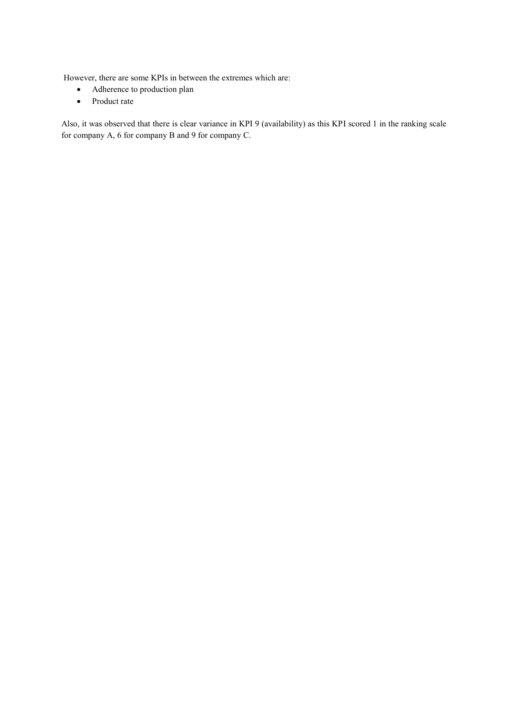However, there are some KPIs in between the extremes which are:

- Adherence to production plan
- Product rate

Also, it was observed that there is clear variance in KPI 9 (availability) as this KPI scored 1 in the ranking scale for company A, 6 for company B and 9 for company C.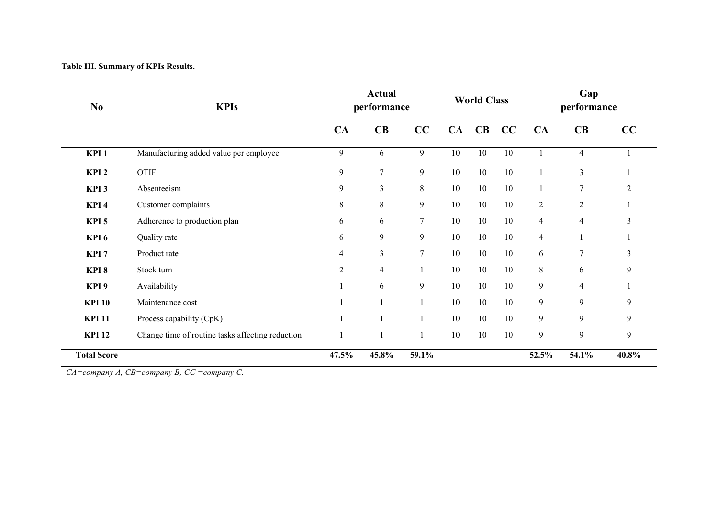# **Table III. Summary of KPIs Results.**

| N <sub>0</sub>     | <b>KPIs</b>                                      | <b>Actual</b><br>performance |        |                |    | <b>World Class</b>               |    | Gap<br>performance |                |                |
|--------------------|--------------------------------------------------|------------------------------|--------|----------------|----|----------------------------------|----|--------------------|----------------|----------------|
|                    |                                                  | CA                           | CB     | CC             | CA | $\overline{\mathbf{C}}$ <b>B</b> | CC | CA                 | CB             | CC             |
| KPI <sub>1</sub>   | Manufacturing added value per employee           | 9                            | 6      | 9              | 10 | 10                               | 10 |                    | $\overline{4}$ |                |
| KPI <sub>2</sub>   | <b>OTIF</b>                                      | 9                            | $\tau$ | 9              | 10 | 10                               | 10 |                    | 3              |                |
| KPI <sub>3</sub>   | Absenteeism                                      | 9                            | 3      | 8              | 10 | 10                               | 10 |                    | 7              | $\overline{2}$ |
| KPI <sub>4</sub>   | Customer complaints                              | 8                            | 8      | 9              | 10 | 10                               | 10 | $\overline{c}$     | $\overline{2}$ |                |
| KPI <sub>5</sub>   | Adherence to production plan                     | 6                            | 6      | $\tau$         | 10 | 10                               | 10 | $\overline{4}$     | $\overline{4}$ | 3              |
| KPI6               | Quality rate                                     | 6                            | 9      | 9              | 10 | 10                               | 10 | $\overline{4}$     |                |                |
| KPI <sub>7</sub>   | Product rate                                     | 4                            | 3      | $\overline{7}$ | 10 | 10                               | 10 | 6                  | 7              | 3              |
| KPI <sup>8</sup>   | Stock turn                                       | $\overline{2}$               | 4      | 1              | 10 | 10                               | 10 | 8                  | 6              | 9              |
| KPI 9              | Availability                                     |                              | 6      | 9              | 10 | 10                               | 10 | 9                  | $\overline{4}$ |                |
| <b>KPI 10</b>      | Maintenance cost                                 |                              |        |                | 10 | 10                               | 10 | 9                  | 9              | 9              |
| <b>KPI 11</b>      | Process capability (CpK)                         |                              |        |                | 10 | 10                               | 10 | 9                  | 9              | 9              |
| <b>KPI 12</b>      | Change time of routine tasks affecting reduction |                              |        |                | 10 | 10                               | 10 | 9                  | 9              | 9              |
| <b>Total Score</b> |                                                  | 47.5%                        | 45.8%  | 59.1%          |    |                                  |    | 52.5%              | 54.1%          | 40.8%          |

*CA=company A, CB=company B, CC =company C.*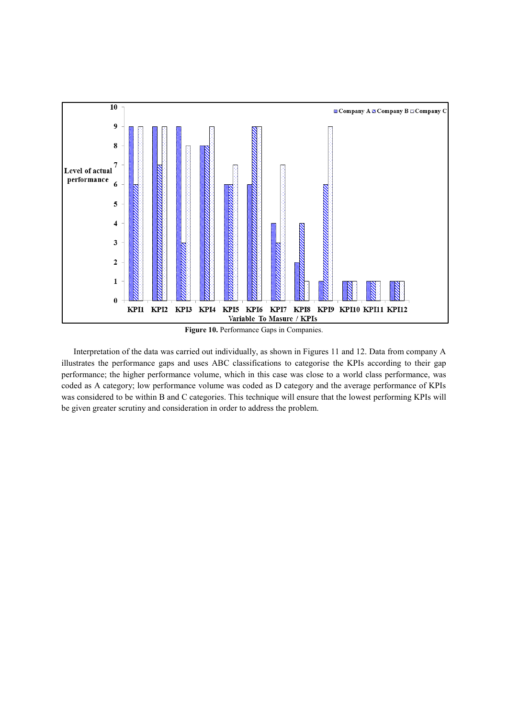

**Figure 10.** Performance Gaps in Companies.

Interpretation of the data was carried out individually, as shown in Figures 11 and 12. Data from company A illustrates the performance gaps and uses ABC classifications to categorise the KPIs according to their gap performance; the higher performance volume, which in this case was close to a world class performance, was coded as A category; low performance volume was coded as D category and the average performance of KPIs was considered to be within B and C categories. This technique will ensure that the lowest performing KPIs will be given greater scrutiny and consideration in order to address the problem.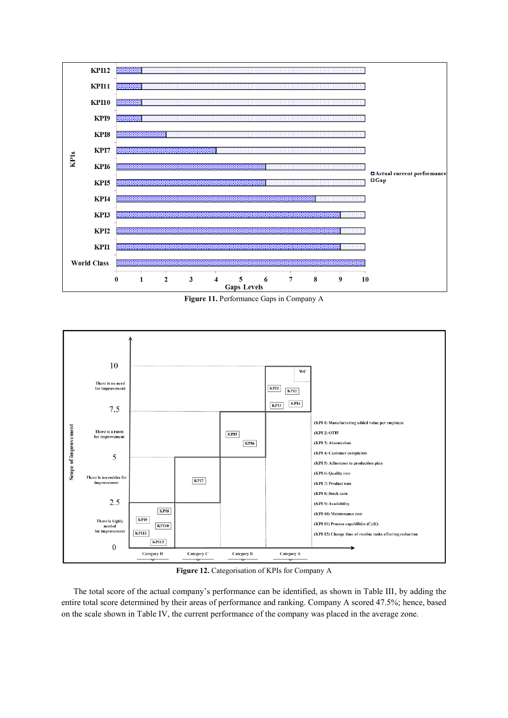

**Figure 11.** Performance Gaps in Company A



**Figure 12.** Categorisation of KPIs for Company A

The total score of the actual company's performance can be identified, as shown in Table III, by adding the entire total score determined by their areas of performance and ranking. Company A scored 47.5%; hence, based on the scale shown in Table IV, the current performance of the company was placed in the average zone.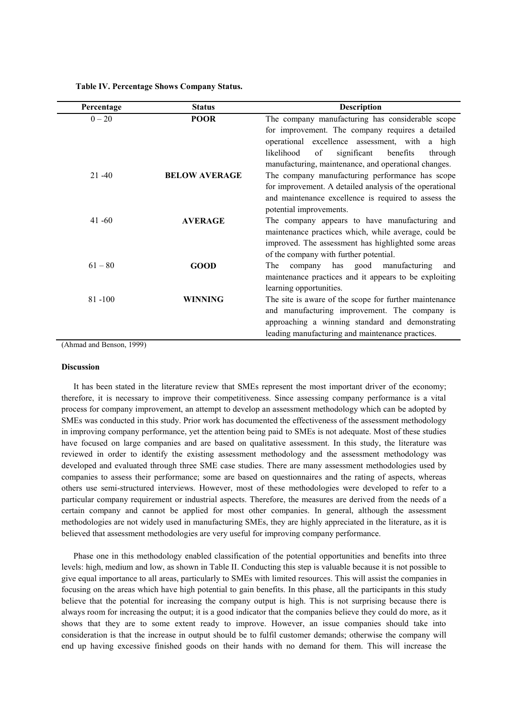| Percentage | <b>Status</b>        | <b>Description</b>                                      |
|------------|----------------------|---------------------------------------------------------|
| $0 - 20$   | <b>POOR</b>          | The company manufacturing has considerable scope        |
|            |                      | for improvement. The company requires a detailed        |
|            |                      | excellence assessment, with<br>operational<br>a high    |
|            |                      | likelihood<br>significant<br>of<br>benefits<br>through  |
|            |                      | manufacturing, maintenance, and operational changes.    |
| $21 - 40$  | <b>BELOW AVERAGE</b> | The company manufacturing performance has scope         |
|            |                      | for improvement. A detailed analysis of the operational |
|            |                      | and maintenance excellence is required to assess the    |
|            |                      | potential improvements.                                 |
| $41 - 60$  | <b>AVERAGE</b>       | The company appears to have manufacturing and           |
|            |                      | maintenance practices which, while average, could be    |
|            |                      | improved. The assessment has highlighted some areas     |
|            |                      | of the company with further potential.                  |
| $61 - 80$  | <b>GOOD</b>          | The<br>has<br>good<br>manufacturing<br>company<br>and   |
|            |                      | maintenance practices and it appears to be exploiting   |
|            |                      | learning opportunities.                                 |
| 81 - 100   | <b>WINNING</b>       | The site is aware of the scope for further maintenance  |
|            |                      | and manufacturing improvement. The company is           |
|            |                      | approaching a winning standard and demonstrating        |
|            |                      | leading manufacturing and maintenance practices.        |

**Table IV. Percentage Shows Company Status.** 

(Ahmad and Benson, 1999)

## **Discussion**

It has been stated in the literature review that SMEs represent the most important driver of the economy; therefore, it is necessary to improve their competitiveness. Since assessing company performance is a vital process for company improvement, an attempt to develop an assessment methodology which can be adopted by SMEs was conducted in this study. Prior work has documented the effectiveness of the assessment methodology in improving company performance, yet the attention being paid to SMEs is not adequate. Most of these studies have focused on large companies and are based on qualitative assessment. In this study, the literature was reviewed in order to identify the existing assessment methodology and the assessment methodology was developed and evaluated through three SME case studies. There are many assessment methodologies used by companies to assess their performance; some are based on questionnaires and the rating of aspects, whereas others use semi-structured interviews. However, most of these methodologies were developed to refer to a particular company requirement or industrial aspects. Therefore, the measures are derived from the needs of a certain company and cannot be applied for most other companies. In general, although the assessment methodologies are not widely used in manufacturing SMEs, they are highly appreciated in the literature, as it is believed that assessment methodologies are very useful for improving company performance.

Phase one in this methodology enabled classification of the potential opportunities and benefits into three levels: high, medium and low, as shown in Table II. Conducting this step is valuable because it is not possible to give equal importance to all areas, particularly to SMEs with limited resources. This will assist the companies in focusing on the areas which have high potential to gain benefits. In this phase, all the participants in this study believe that the potential for increasing the company output is high. This is not surprising because there is always room for increasing the output; it is a good indicator that the companies believe they could do more, as it shows that they are to some extent ready to improve. However, an issue companies should take into consideration is that the increase in output should be to fulfil customer demands; otherwise the company will end up having excessive finished goods on their hands with no demand for them. This will increase the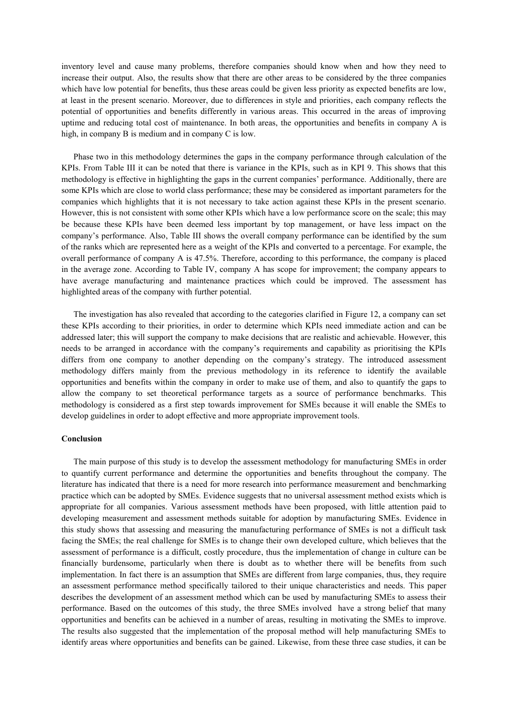inventory level and cause many problems, therefore companies should know when and how they need to increase their output. Also, the results show that there are other areas to be considered by the three companies which have low potential for benefits, thus these areas could be given less priority as expected benefits are low, at least in the present scenario. Moreover, due to differences in style and priorities, each company reflects the potential of opportunities and benefits differently in various areas. This occurred in the areas of improving uptime and reducing total cost of maintenance. In both areas, the opportunities and benefits in company A is high, in company B is medium and in company C is low.

Phase two in this methodology determines the gaps in the company performance through calculation of the KPIs. From Table III it can be noted that there is variance in the KPIs, such as in KPI 9. This shows that this methodology is effective in highlighting the gaps in the current companies' performance. Additionally, there are some KPIs which are close to world class performance; these may be considered as important parameters for the companies which highlights that it is not necessary to take action against these KPIs in the present scenario. However, this is not consistent with some other KPIs which have a low performance score on the scale; this may be because these KPIs have been deemed less important by top management, or have less impact on the company's performance. Also, Table III shows the overall company performance can be identified by the sum of the ranks which are represented here as a weight of the KPIs and converted to a percentage. For example, the overall performance of company A is 47.5%. Therefore, according to this performance, the company is placed in the average zone. According to Table IV, company A has scope for improvement; the company appears to have average manufacturing and maintenance practices which could be improved. The assessment has highlighted areas of the company with further potential.

The investigation has also revealed that according to the categories clarified in Figure 12, a company can set these KPIs according to their priorities, in order to determine which KPIs need immediate action and can be addressed later; this will support the company to make decisions that are realistic and achievable. However, this needs to be arranged in accordance with the company's requirements and capability as prioritising the KPIs differs from one company to another depending on the company's strategy. The introduced assessment methodology differs mainly from the previous methodology in its reference to identify the available opportunities and benefits within the company in order to make use of them, and also to quantify the gaps to allow the company to set theoretical performance targets as a source of performance benchmarks. This methodology is considered as a first step towards improvement for SMEs because it will enable the SMEs to develop guidelines in order to adopt effective and more appropriate improvement tools.

#### **Conclusion**

The main purpose of this study is to develop the assessment methodology for manufacturing SMEs in order to quantify current performance and determine the opportunities and benefits throughout the company. The literature has indicated that there is a need for more research into performance measurement and benchmarking practice which can be adopted by SMEs. Evidence suggests that no universal assessment method exists which is appropriate for all companies. Various assessment methods have been proposed, with little attention paid to developing measurement and assessment methods suitable for adoption by manufacturing SMEs. Evidence in this study shows that assessing and measuring the manufacturing performance of SMEs is not a difficult task facing the SMEs; the real challenge for SMEs is to change their own developed culture, which believes that the assessment of performance is a difficult, costly procedure, thus the implementation of change in culture can be financially burdensome, particularly when there is doubt as to whether there will be benefits from such implementation. In fact there is an assumption that SMEs are different from large companies, thus, they require an assessment performance method specifically tailored to their unique characteristics and needs. This paper describes the development of an assessment method which can be used by manufacturing SMEs to assess their performance. Based on the outcomes of this study, the three SMEs involved have a strong belief that many opportunities and benefits can be achieved in a number of areas, resulting in motivating the SMEs to improve. The results also suggested that the implementation of the proposal method will help manufacturing SMEs to identify areas where opportunities and benefits can be gained. Likewise, from these three case studies, it can be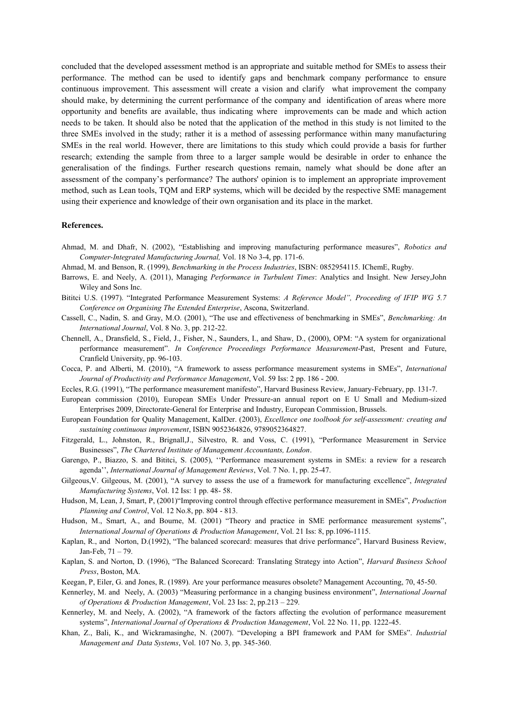concluded that the developed assessment method is an appropriate and suitable method for SMEs to assess their performance. The method can be used to identify gaps and benchmark company performance to ensure continuous improvement. This assessment will create a vision and clarify what improvement the company should make, by determining the current performance of the company and identification of areas where more opportunity and benefits are available, thus indicating where improvements can be made and which action needs to be taken. It should also be noted that the application of the method in this study is not limited to the three SMEs involved in the study; rather it is a method of assessing performance within many manufacturing SMEs in the real world. However, there are limitations to this study which could provide a basis for further research; extending the sample from three to a larger sample would be desirable in order to enhance the generalisation of the findings. Further research questions remain, namely what should be done after an assessment of the company's performance? The authors' opinion is to implement an appropriate improvement method, such as Lean tools, TQM and ERP systems, which will be decided by the respective SME management using their experience and knowledge of their own organisation and its place in the market.

#### **References.**

- Ahmad, M. and Dhafr, N. (2002), "Establishing and improving manufacturing performance measures", *Robotics and Computer-Integrated Manufacturing Journal,* Vol. 18 No 3-4, pp. 171-6.
- Ahmad, M. and Benson, R. (1999), *Benchmarking in the Process Industries*, ISBN: 0852954115. IChemE, Rugby.
- Barrows, E. and Neely, A. (2011), Managing *Performance in Turbulent Times*: Analytics and Insight. New Jersey,John Wiley and Sons Inc.
- Bititci U.S. (1997). "Integrated Performance Measurement Systems: *A Reference Model", Proceeding of IFIP WG 5.7 Conference on Organising The Extended Enterprise*, Ascona, Switzerland.
- Cassell, C., Nadin, S. and Gray, M.O. (2001), "The use and effectiveness of benchmarking in SMEs", *Benchmarking: An International Journal*, Vol. 8 No. 3, pp. 212-22.
- Chennell, A., Dransfield, S., Field, J., Fisher, N., Saunders, I., and Shaw, D., (2000), OPM: "A system for organizational performance measurement". *In Conference Proceedings Performance Measurement-*Past, Present and Future, Cranfield University, pp. 96-103.
- Cocca, P. and Alberti, M. (2010), "A framework to assess performance measurement systems in SMEs", *International Journal of Productivity and Performance Management*, Vol. 59 Iss: 2 pp. 186 - 200.
- Eccles, R.G. (1991), "The performance measurement manifesto", Harvard Business Review, January-February, pp. 131-7.
- European commission (2010), European SMEs Under Pressure-an annual report on E U Small and Medium-sized Enterprises 2009, Directorate-General for Enterprise and Industry, European Commission, Brussels.
- [European Foundation for Quality Management,](http://www.google.co.uk/search?tbo=p&tbm=bks&q=inauthor:%22European+Foundation+for+Quality+Management%22&source=gbs_metadata_r&cad=3) [KalDer.](http://www.google.co.uk/search?tbo=p&tbm=bks&q=inauthor:%22KalDer%22&source=gbs_metadata_r&cad=3) (2003), *Excellence one toolbook for self-assessment: creating and sustaining continuous improvement*, ISBN 9052364826, 9789052364827.
- Fitzgerald, L., Johnston, R., Brignall,J., Silvestro, R. and Voss, C. (1991), "Performance Measurement in Service Businesses", *The Chartered Institute of Management Accountants, London*.
- Garengo, P., Biazzo, S. and Bititci, S. (2005), ''Performance measurement systems in SMEs: a review for a research agenda'', *International Journal of Management Reviews*, Vol. 7 No. 1, pp. 25-47.
- Gilgeous,V. Gilgeous, M. (2001), "A survey to assess the use of a framework for manufacturing excellence", *Integrated Manufacturing Systems*, Vol. 12 Iss: 1 pp. 48- 58.
- Hudson, M, Lean, J, Smart, P, (2001)"Improving control through effective performance measurement in SMEs", *Production Planning and Control*, Vol. 12 No.8, pp. 804 - 813.
- Hudson, M., Smart, A., and Bourne, M. (2001) "Theory and practice in SME performance measurement systems", *International Journal of Operations & Production Management*, Vol. 21 Iss: 8, pp.1096-1115.
- Kaplan, R., and Norton, D.(1992), "The balanced scorecard: measures that drive performance", Harvard Business Review, Jan-Feb, 71 – 79.
- Kaplan, S. and Norton, D. (1996), "The Balanced Scorecard: Translating Strategy into Action", *Harvard Business School Press*, Boston, MA.
- Keegan, P, Eiler, G. and Jones, R. (1989). Are your performance measures obsolete? Management Accounting, 70, 45-50.
- Kennerley, M. and Neely, A. (2003) "Measuring performance in a changing business environment", *International Journal of Operations & Production Management*, Vol. 23 Iss: 2, pp.213 – 229.
- Kennerley, M. and Neely, A. (2002), "A framework of the factors affecting the evolution of performance measurement systems", *International Journal of Operations & Production Management*, Vol. 22 No. 11, pp. 1222-45.
- Khan, Z., Bali, K., and Wickramasinghe, N. (2007). "Developing a BPI framework and PAM for SMEs". *Industrial Management and Data Systems*, Vol. 107 No. 3, pp. 345-360.